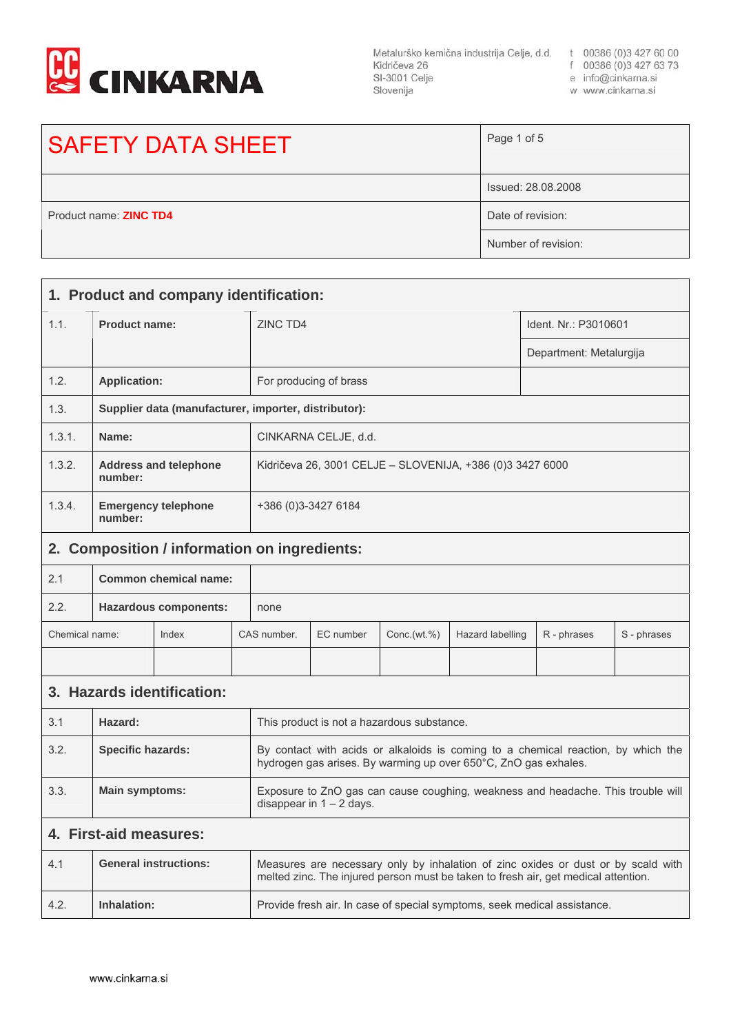

Metalurško kemična industrija Celje, d.d. t 00386 (0)3 427 60 00 Kidričeva 26 SI-3001 Celje Slovenija

- f 00386 (0)3 427 63 73
	- e info@cinkarna.si
	- w www.cinkarna.si

## SAFETY DATA SHEET Page 1 of 5 Issued: 28.08.2008 Product name: **ZINC TD4** Date of revision: Number of revision: **1. Product and company identification:**  1.1. **Product name: ZINC TD4** IDENTIFY **IDENTIFY IDENTIFY IDENTIFY IDENTIFY IDENTIFY** Department: Metalurgija 1.2. **Application:** For producing of brass

| 1.2.   | <b>Application:</b>                                                                                  | For producing of brass |  |
|--------|------------------------------------------------------------------------------------------------------|------------------------|--|
| 1.3.   | Supplier data (manufacturer, importer, distributor):                                                 |                        |  |
| 1.3.1. | Name:                                                                                                | CINKARNA CELJE, d.d.   |  |
| 1.3.2. | <b>Address and telephone</b><br>Kidričeva 26, 3001 CELJE - SLOVENIJA, +386 (0)3 3427 6000<br>number: |                        |  |
| 1.3.4. | <b>Emergency telephone</b><br>number:                                                                | +386 (0)3-3427 6184    |  |

## **2. Composition / information on ingredients:**

| 2.1                                  | Common chemical name: |       |  |             |           |             |                  |             |             |
|--------------------------------------|-----------------------|-------|--|-------------|-----------|-------------|------------------|-------------|-------------|
| 2.2.<br><b>Hazardous components:</b> |                       | none  |  |             |           |             |                  |             |             |
| Chemical name:                       |                       | Index |  | CAS number. | EC number | Conc.(wt.%) | Hazard labelling | R - phrases | S - phrases |
|                                      |                       |       |  |             |           |             |                  |             |             |

## **3. Hazards identification:**

| 3.1  | Hazard:                  | This product is not a hazardous substance.                                                                                                           |
|------|--------------------------|------------------------------------------------------------------------------------------------------------------------------------------------------|
| 3.2. | <b>Specific hazards:</b> | By contact with acids or alkaloids is coming to a chemical reaction, by which the<br>hydrogen gas arises. By warming up over 650°C, ZnO gas exhales. |
| 3.3. | <b>Main symptoms:</b>    | Exposure to ZnO gas can cause coughing, weakness and headache. This trouble will<br>disappear in $1 - 2$ days.                                       |

## **4. First-aid measures:**

| 4.1  | <b>General instructions:</b> | Measures are necessary only by inhalation of zinc oxides or dust or by scald with<br>melted zinc. The injured person must be taken to fresh air, get medical attention. |
|------|------------------------------|-------------------------------------------------------------------------------------------------------------------------------------------------------------------------|
| 4.2. | Inhalation:                  | Provide fresh air. In case of special symptoms, seek medical assistance.                                                                                                |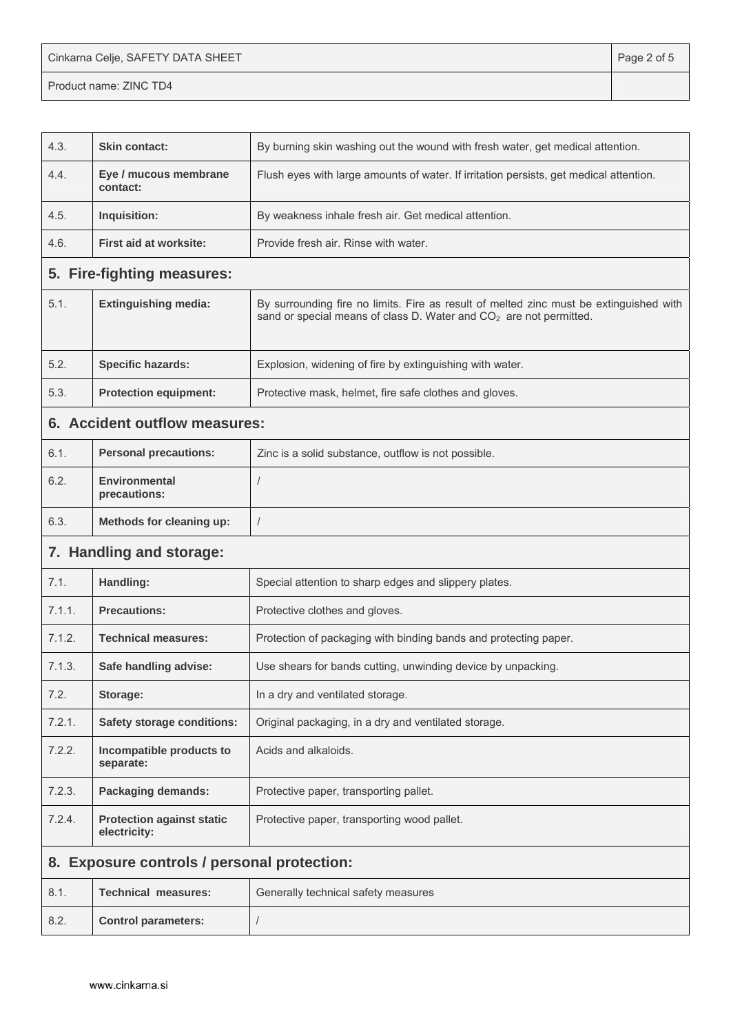Cinkarna Celje, SAFETY DATA SHEET **Page 2 of 5** and 2 of 5

Product name: ZINC TD4

| 4.3.                     | <b>Skin contact:</b>                             | By burning skin washing out the wound with fresh water, get medical attention.                                                                                           |
|--------------------------|--------------------------------------------------|--------------------------------------------------------------------------------------------------------------------------------------------------------------------------|
| 4.4.                     | Eye / mucous membrane<br>contact:                | Flush eyes with large amounts of water. If irritation persists, get medical attention.                                                                                   |
| 4.5.                     | Inquisition:                                     | By weakness inhale fresh air. Get medical attention.                                                                                                                     |
| 4.6.                     | <b>First aid at worksite:</b>                    | Provide fresh air. Rinse with water.                                                                                                                                     |
|                          | 5. Fire-fighting measures:                       |                                                                                                                                                                          |
| 5.1.                     | <b>Extinguishing media:</b>                      | By surrounding fire no limits. Fire as result of melted zinc must be extinguished with<br>sand or special means of class D. Water and CO <sub>2</sub> are not permitted. |
| 5.2.                     | <b>Specific hazards:</b>                         | Explosion, widening of fire by extinguishing with water.                                                                                                                 |
| 5.3.                     | <b>Protection equipment:</b>                     | Protective mask, helmet, fire safe clothes and gloves.                                                                                                                   |
|                          | 6. Accident outflow measures:                    |                                                                                                                                                                          |
| 6.1.                     | <b>Personal precautions:</b>                     | Zinc is a solid substance, outflow is not possible.                                                                                                                      |
| 6.2.                     | <b>Environmental</b><br>precautions:             |                                                                                                                                                                          |
| 6.3.                     | Methods for cleaning up:                         | $\sqrt{2}$                                                                                                                                                               |
| 7. Handling and storage: |                                                  |                                                                                                                                                                          |
| 7.1.                     | Handling:                                        | Special attention to sharp edges and slippery plates.                                                                                                                    |
| 7.1.1.                   | <b>Precautions:</b>                              | Protective clothes and gloves.                                                                                                                                           |
| 7.1.2.                   | <b>Technical measures:</b>                       | Protection of packaging with binding bands and protecting paper.                                                                                                         |
| 7.1.3.                   | Safe handling advise:                            | Use shears for bands cutting, unwinding device by unpacking.                                                                                                             |
| 7.2.                     | Storage:                                         | In a dry and ventilated storage.                                                                                                                                         |
| 7.2.1.                   | <b>Safety storage conditions:</b>                | Original packaging, in a dry and ventilated storage.                                                                                                                     |
| 7.2.2.                   | Incompatible products to<br>separate:            | Acids and alkaloids.                                                                                                                                                     |
| 7.2.3.                   | <b>Packaging demands:</b>                        | Protective paper, transporting pallet.                                                                                                                                   |
| 7.2.4.                   | <b>Protection against static</b><br>electricity: | Protective paper, transporting wood pallet.                                                                                                                              |
| 8.                       | <b>Exposure controls / personal protection:</b>  |                                                                                                                                                                          |
| 8.1.                     | <b>Technical measures:</b>                       | Generally technical safety measures                                                                                                                                      |
| 8.2.                     | <b>Control parameters:</b>                       | $\sqrt{2}$                                                                                                                                                               |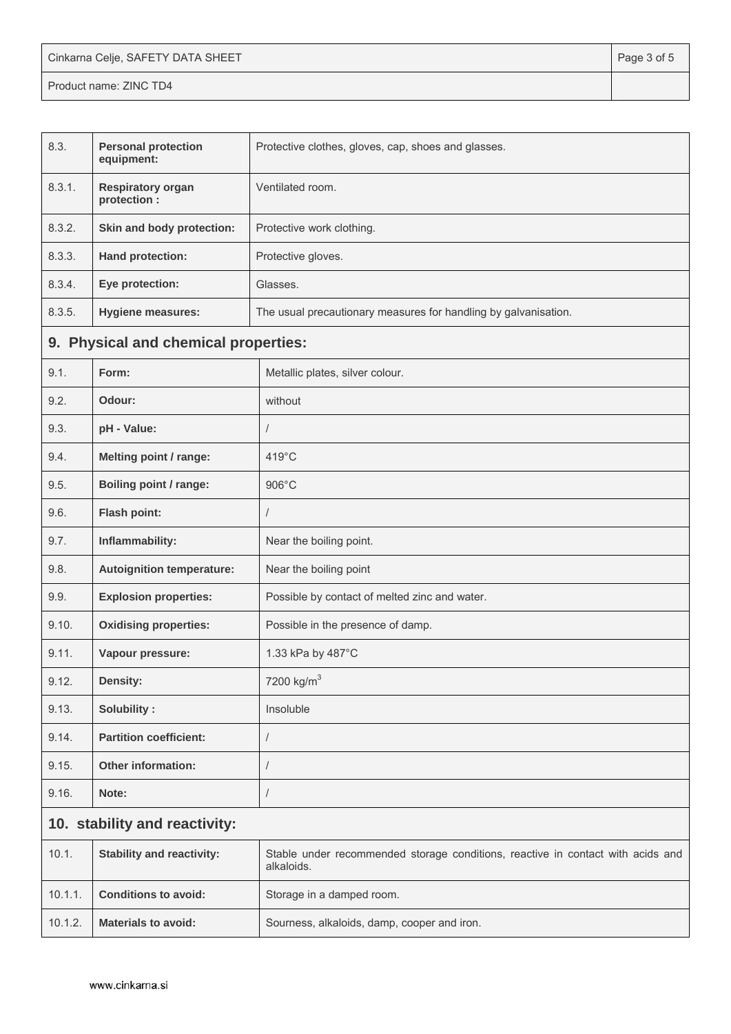| Cinkarna Celje, SAFETY DATA SHEET | Page 3 of 5 |
|-----------------------------------|-------------|
| Product name: ZINC TD4            |             |

| 8.3.                          | <b>Personal protection</b><br>equipment: | Protective clothes, gloves, cap, shoes and glasses.                                           |  |
|-------------------------------|------------------------------------------|-----------------------------------------------------------------------------------------------|--|
| 8.3.1.                        | <b>Respiratory organ</b><br>protection : | Ventilated room.                                                                              |  |
| 8.3.2.                        | Skin and body protection:                | Protective work clothing.                                                                     |  |
| 8.3.3.                        | <b>Hand protection:</b>                  | Protective gloves.                                                                            |  |
| 8.3.4.                        | Eye protection:                          | Glasses.                                                                                      |  |
| 8.3.5.                        | <b>Hygiene measures:</b>                 | The usual precautionary measures for handling by galvanisation.                               |  |
|                               | 9. Physical and chemical properties:     |                                                                                               |  |
| 9.1.                          | Form:                                    | Metallic plates, silver colour.                                                               |  |
| 9.2.                          | Odour:                                   | without                                                                                       |  |
| 9.3.                          | pH - Value:                              | /                                                                                             |  |
| 9.4.                          | <b>Melting point / range:</b>            | 419°C                                                                                         |  |
| 9.5.                          | <b>Boiling point / range:</b>            | 906°C                                                                                         |  |
| 9.6.                          | Flash point:                             | $\prime$                                                                                      |  |
| 9.7.                          | Inflammability:                          | Near the boiling point.                                                                       |  |
| 9.8.                          | <b>Autoignition temperature:</b>         | Near the boiling point                                                                        |  |
| 9.9.                          | <b>Explosion properties:</b>             | Possible by contact of melted zinc and water.                                                 |  |
| 9.10.                         | <b>Oxidising properties:</b>             | Possible in the presence of damp.                                                             |  |
| 9.11.                         | Vapour pressure:                         | 1.33 kPa by 487°C                                                                             |  |
| 9.12.                         | <b>Density:</b>                          | 7200 kg/m <sup>3</sup>                                                                        |  |
| 9.13.                         | Solubility:                              | Insoluble                                                                                     |  |
| 9.14.                         | <b>Partition coefficient:</b>            | /                                                                                             |  |
| 9.15.                         | <b>Other information:</b>                | I                                                                                             |  |
| 9.16.                         | Note:                                    | /                                                                                             |  |
| 10. stability and reactivity: |                                          |                                                                                               |  |
| 10.1.                         | <b>Stability and reactivity:</b>         | Stable under recommended storage conditions, reactive in contact with acids and<br>alkaloids. |  |
| 10.1.1.                       | <b>Conditions to avoid:</b>              | Storage in a damped room.                                                                     |  |
| 10.1.2.                       | <b>Materials to avoid:</b>               | Sourness, alkaloids, damp, cooper and iron.                                                   |  |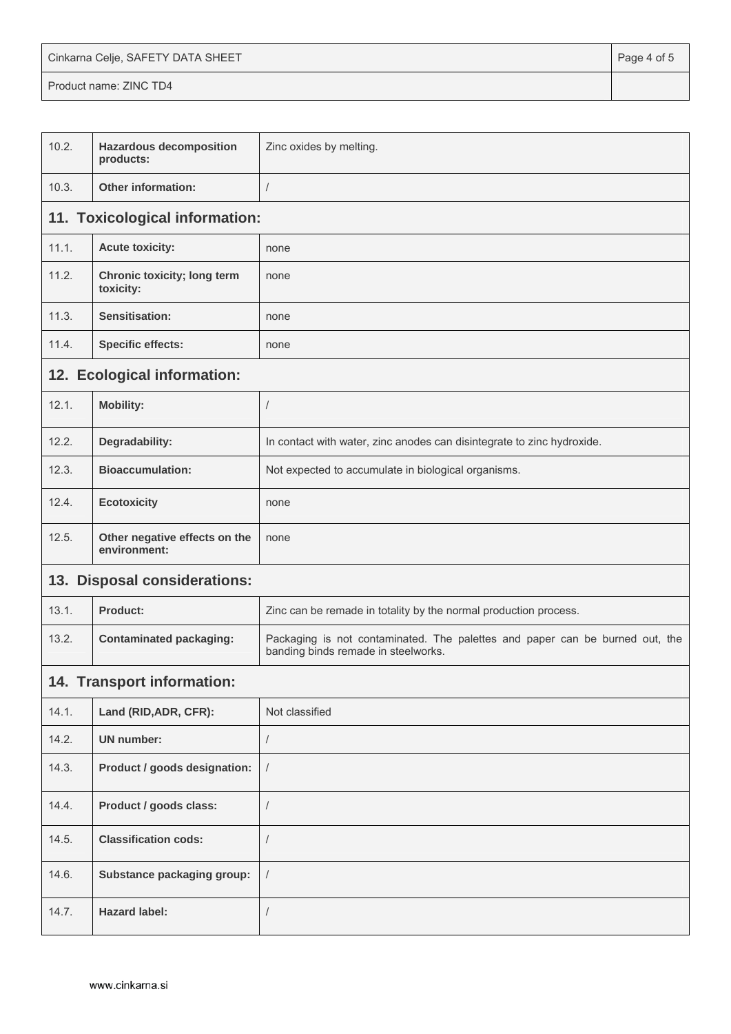| Cinkarna Celje, SAFETY DATA SHEET | Page 4 of 5 |
|-----------------------------------|-------------|
| Product name: ZINC TD4            |             |

| 10.2.                        | <b>Hazardous decomposition</b><br>products:   | Zinc oxides by melting.                                                                                             |  |  |  |
|------------------------------|-----------------------------------------------|---------------------------------------------------------------------------------------------------------------------|--|--|--|
| 10.3.                        | Other information:                            | $\sqrt{ }$                                                                                                          |  |  |  |
|                              | 11. Toxicological information:                |                                                                                                                     |  |  |  |
| 11.1.                        | <b>Acute toxicity:</b>                        | none                                                                                                                |  |  |  |
| 11.2.                        | Chronic toxicity; long term<br>toxicity:      | none                                                                                                                |  |  |  |
| 11.3.                        | Sensitisation:                                | none                                                                                                                |  |  |  |
| 11.4.                        | <b>Specific effects:</b>                      | none                                                                                                                |  |  |  |
|                              | 12. Ecological information:                   |                                                                                                                     |  |  |  |
| 12.1.                        | <b>Mobility:</b>                              | $\sqrt{2}$                                                                                                          |  |  |  |
| 12.2.                        | Degradability:                                | In contact with water, zinc anodes can disintegrate to zinc hydroxide.                                              |  |  |  |
| 12.3.                        | <b>Bioaccumulation:</b>                       | Not expected to accumulate in biological organisms.                                                                 |  |  |  |
| 12.4.                        | <b>Ecotoxicity</b>                            | none                                                                                                                |  |  |  |
| 12.5.                        | Other negative effects on the<br>environment: | none                                                                                                                |  |  |  |
| 13. Disposal considerations: |                                               |                                                                                                                     |  |  |  |
| 13.1.                        | Product:                                      | Zinc can be remade in totality by the normal production process.                                                    |  |  |  |
| 13.2.                        | <b>Contaminated packaging:</b>                | Packaging is not contaminated. The palettes and paper can be burned out, the<br>banding binds remade in steelworks. |  |  |  |
|                              | 14. Transport information:                    |                                                                                                                     |  |  |  |
| 14.1.                        | Land (RID, ADR, CFR):                         | Not classified                                                                                                      |  |  |  |
| 14.2.                        | <b>UN number:</b>                             | $\sqrt{2}$                                                                                                          |  |  |  |
| 14.3.                        | Product / goods designation:                  | $\sqrt{ }$                                                                                                          |  |  |  |
| 14.4.                        | Product / goods class:                        | $\sqrt{2}$                                                                                                          |  |  |  |
| 14.5.                        | <b>Classification cods:</b>                   | $\sqrt{2}$                                                                                                          |  |  |  |
| 14.6.                        | Substance packaging group:                    | $\sqrt{ }$                                                                                                          |  |  |  |
| 14.7.                        | <b>Hazard label:</b>                          | $\sqrt{2}$                                                                                                          |  |  |  |